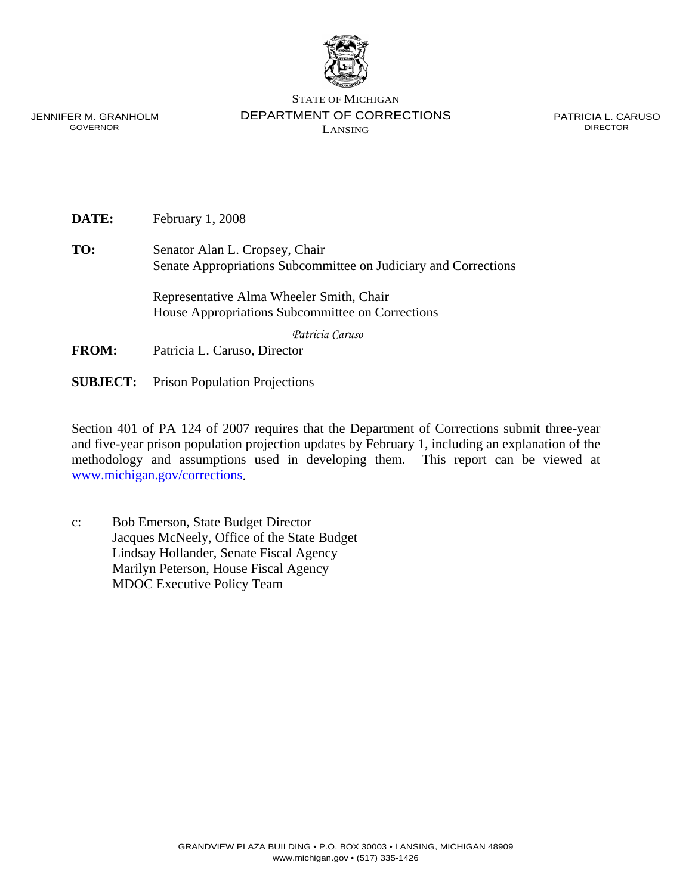

JENNIFER M. GRANHOLM GOVERNOR

STATE OF MICHIGAN DEPARTMENT OF CORRECTIONS LANSING

PATRICIA L. CARUSO DIRECTOR

**DATE:** February 1, 2008

**TO:** Senator Alan L. Cropsey, Chair Senate Appropriations Subcommittee on Judiciary and Corrections

> Representative Alma Wheeler Smith, Chair House Appropriations Subcommittee on Corrections

> > *Patricia Caruso*

- **FROM:** Patricia L. Caruso, Director
- **SUBJECT:** Prison Population Projections

Section 401 of PA 124 of 2007 requires that the Department of Corrections submit three-year and five-year prison population projection updates by February 1, including an explanation of the methodology and assumptions used in developing them. This report can be viewed at www.michigan.gov/corrections.

c: Bob Emerson, State Budget Director Jacques McNeely, Office of the State Budget Lindsay Hollander, Senate Fiscal Agency Marilyn Peterson, House Fiscal Agency MDOC Executive Policy Team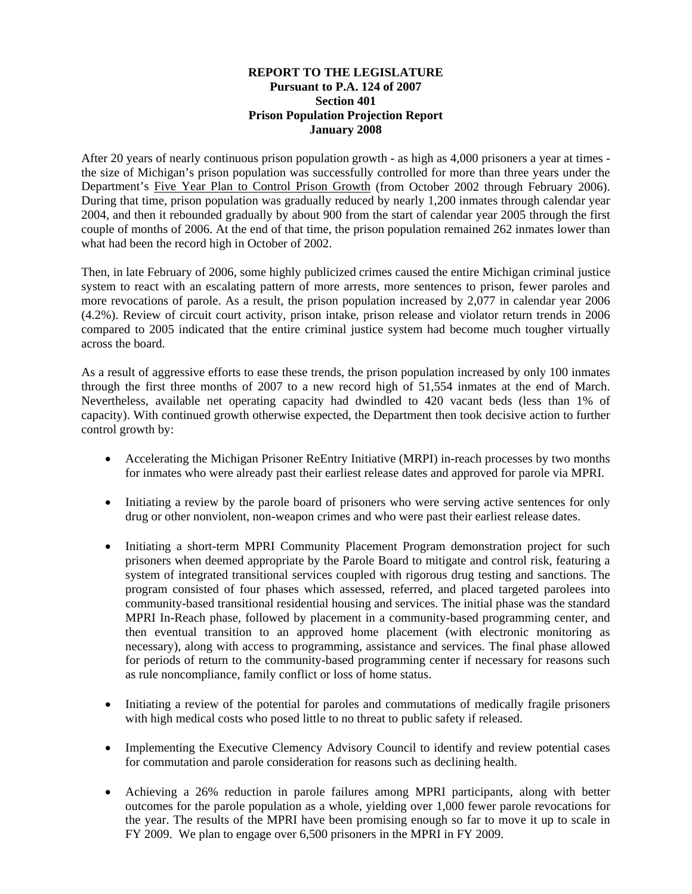### **REPORT TO THE LEGISLATURE Pursuant to P.A. 124 of 2007 Section 401 Prison Population Projection Report January 2008**

After 20 years of nearly continuous prison population growth - as high as 4,000 prisoners a year at times the size of Michigan's prison population was successfully controlled for more than three years under the Department's Five Year Plan to Control Prison Growth (from October 2002 through February 2006). During that time, prison population was gradually reduced by nearly 1,200 inmates through calendar year 2004, and then it rebounded gradually by about 900 from the start of calendar year 2005 through the first couple of months of 2006. At the end of that time, the prison population remained 262 inmates lower than what had been the record high in October of 2002.

Then, in late February of 2006, some highly publicized crimes caused the entire Michigan criminal justice system to react with an escalating pattern of more arrests, more sentences to prison, fewer paroles and more revocations of parole. As a result, the prison population increased by 2,077 in calendar year 2006 (4.2%). Review of circuit court activity, prison intake, prison release and violator return trends in 2006 compared to 2005 indicated that the entire criminal justice system had become much tougher virtually across the board.

As a result of aggressive efforts to ease these trends, the prison population increased by only 100 inmates through the first three months of 2007 to a new record high of 51,554 inmates at the end of March. Nevertheless, available net operating capacity had dwindled to 420 vacant beds (less than 1% of capacity). With continued growth otherwise expected, the Department then took decisive action to further control growth by:

- Accelerating the Michigan Prisoner ReEntry Initiative (MRPI) in-reach processes by two months for inmates who were already past their earliest release dates and approved for parole via MPRI.
- Initiating a review by the parole board of prisoners who were serving active sentences for only drug or other nonviolent, non-weapon crimes and who were past their earliest release dates.
- Initiating a short-term MPRI Community Placement Program demonstration project for such prisoners when deemed appropriate by the Parole Board to mitigate and control risk, featuring a system of integrated transitional services coupled with rigorous drug testing and sanctions. The program consisted of four phases which assessed, referred, and placed targeted parolees into community-based transitional residential housing and services. The initial phase was the standard MPRI In-Reach phase, followed by placement in a community-based programming center, and then eventual transition to an approved home placement (with electronic monitoring as necessary), along with access to programming, assistance and services. The final phase allowed for periods of return to the community-based programming center if necessary for reasons such as rule noncompliance, family conflict or loss of home status.
- Initiating a review of the potential for paroles and commutations of medically fragile prisoners with high medical costs who posed little to no threat to public safety if released.
- Implementing the Executive Clemency Advisory Council to identify and review potential cases for commutation and parole consideration for reasons such as declining health.
- Achieving a 26% reduction in parole failures among MPRI participants, along with better outcomes for the parole population as a whole, yielding over 1,000 fewer parole revocations for the year. The results of the MPRI have been promising enough so far to move it up to scale in FY 2009. We plan to engage over 6,500 prisoners in the MPRI in FY 2009.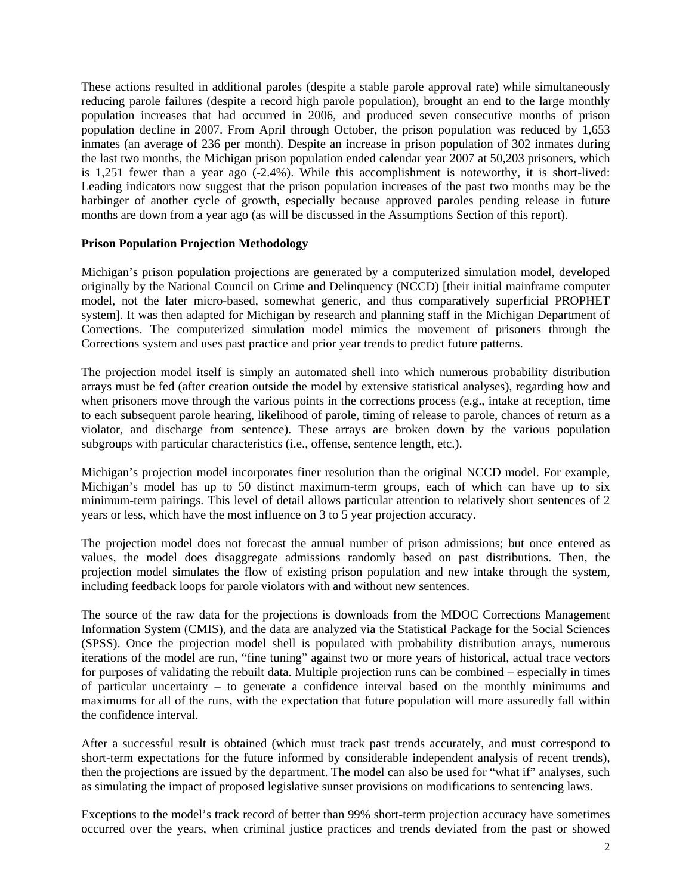These actions resulted in additional paroles (despite a stable parole approval rate) while simultaneously reducing parole failures (despite a record high parole population), brought an end to the large monthly population increases that had occurred in 2006, and produced seven consecutive months of prison population decline in 2007. From April through October, the prison population was reduced by 1,653 inmates (an average of 236 per month). Despite an increase in prison population of 302 inmates during the last two months, the Michigan prison population ended calendar year 2007 at 50,203 prisoners, which is 1,251 fewer than a year ago (-2.4%). While this accomplishment is noteworthy, it is short-lived: Leading indicators now suggest that the prison population increases of the past two months may be the harbinger of another cycle of growth, especially because approved paroles pending release in future months are down from a year ago (as will be discussed in the Assumptions Section of this report).

## **Prison Population Projection Methodology**

Michigan's prison population projections are generated by a computerized simulation model, developed originally by the National Council on Crime and Delinquency (NCCD) [their initial mainframe computer model, not the later micro-based, somewhat generic, and thus comparatively superficial PROPHET system]. It was then adapted for Michigan by research and planning staff in the Michigan Department of Corrections. The computerized simulation model mimics the movement of prisoners through the Corrections system and uses past practice and prior year trends to predict future patterns.

The projection model itself is simply an automated shell into which numerous probability distribution arrays must be fed (after creation outside the model by extensive statistical analyses), regarding how and when prisoners move through the various points in the corrections process (e.g., intake at reception, time to each subsequent parole hearing, likelihood of parole, timing of release to parole, chances of return as a violator, and discharge from sentence). These arrays are broken down by the various population subgroups with particular characteristics (i.e., offense, sentence length, etc.).

Michigan's projection model incorporates finer resolution than the original NCCD model. For example, Michigan's model has up to 50 distinct maximum-term groups, each of which can have up to six minimum-term pairings. This level of detail allows particular attention to relatively short sentences of 2 years or less, which have the most influence on 3 to 5 year projection accuracy.

The projection model does not forecast the annual number of prison admissions; but once entered as values, the model does disaggregate admissions randomly based on past distributions. Then, the projection model simulates the flow of existing prison population and new intake through the system, including feedback loops for parole violators with and without new sentences.

The source of the raw data for the projections is downloads from the MDOC Corrections Management Information System (CMIS), and the data are analyzed via the Statistical Package for the Social Sciences (SPSS). Once the projection model shell is populated with probability distribution arrays, numerous iterations of the model are run, "fine tuning" against two or more years of historical, actual trace vectors for purposes of validating the rebuilt data. Multiple projection runs can be combined – especially in times of particular uncertainty – to generate a confidence interval based on the monthly minimums and maximums for all of the runs, with the expectation that future population will more assuredly fall within the confidence interval.

After a successful result is obtained (which must track past trends accurately, and must correspond to short-term expectations for the future informed by considerable independent analysis of recent trends), then the projections are issued by the department. The model can also be used for "what if" analyses, such as simulating the impact of proposed legislative sunset provisions on modifications to sentencing laws.

Exceptions to the model's track record of better than 99% short-term projection accuracy have sometimes occurred over the years, when criminal justice practices and trends deviated from the past or showed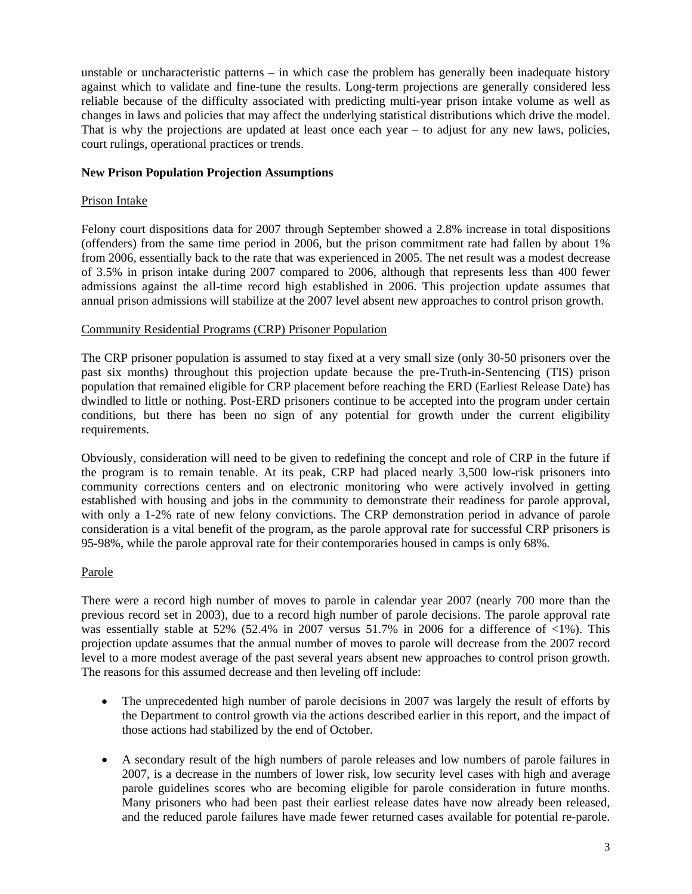unstable or uncharacteristic patterns – in which case the problem has generally been inadequate history against which to validate and fine-tune the results. Long-term projections are generally considered less reliable because of the difficulty associated with predicting multi-year prison intake volume as well as changes in laws and policies that may affect the underlying statistical distributions which drive the model. That is why the projections are updated at least once each year – to adjust for any new laws, policies, court rulings, operational practices or trends.

### **New Prison Population Projection Assumptions**

#### Prison Intake

Felony court dispositions data for 2007 through September showed a 2.8% increase in total dispositions (offenders) from the same time period in 2006, but the prison commitment rate had fallen by about 1% from 2006, essentially back to the rate that was experienced in 2005. The net result was a modest decrease of 3.5% in prison intake during 2007 compared to 2006, although that represents less than 400 fewer admissions against the all-time record high established in 2006. This projection update assumes that annual prison admissions will stabilize at the 2007 level absent new approaches to control prison growth.

#### Community Residential Programs (CRP) Prisoner Population

The CRP prisoner population is assumed to stay fixed at a very small size (only 30-50 prisoners over the past six months) throughout this projection update because the pre-Truth-in-Sentencing (TIS) prison population that remained eligible for CRP placement before reaching the ERD (Earliest Release Date) has dwindled to little or nothing. Post-ERD prisoners continue to be accepted into the program under certain conditions, but there has been no sign of any potential for growth under the current eligibility requirements.

Obviously, consideration will need to be given to redefining the concept and role of CRP in the future if the program is to remain tenable. At its peak, CRP had placed nearly 3,500 low-risk prisoners into community corrections centers and on electronic monitoring who were actively involved in getting established with housing and jobs in the community to demonstrate their readiness for parole approval, with only a 1-2% rate of new felony convictions. The CRP demonstration period in advance of parole consideration is a vital benefit of the program, as the parole approval rate for successful CRP prisoners is 95-98%, while the parole approval rate for their contemporaries housed in camps is only 68%.

#### Parole

There were a record high number of moves to parole in calendar year 2007 (nearly 700 more than the previous record set in 2003), due to a record high number of parole decisions. The parole approval rate was essentially stable at 52% (52.4% in 2007 versus 51.7% in 2006 for a difference of  $\langle 1\% \rangle$ . This projection update assumes that the annual number of moves to parole will decrease from the 2007 record level to a more modest average of the past several years absent new approaches to control prison growth. The reasons for this assumed decrease and then leveling off include:

- The unprecedented high number of parole decisions in 2007 was largely the result of efforts by the Department to control growth via the actions described earlier in this report, and the impact of those actions had stabilized by the end of October.
- A secondary result of the high numbers of parole releases and low numbers of parole failures in 2007, is a decrease in the numbers of lower risk, low security level cases with high and average parole guidelines scores who are becoming eligible for parole consideration in future months. Many prisoners who had been past their earliest release dates have now already been released, and the reduced parole failures have made fewer returned cases available for potential re-parole.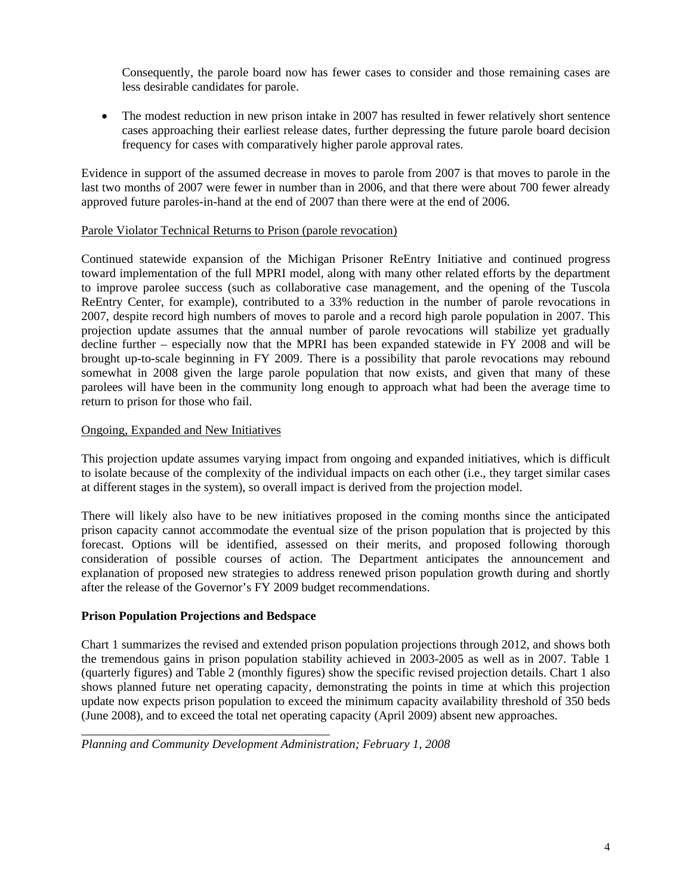Consequently, the parole board now has fewer cases to consider and those remaining cases are less desirable candidates for parole.

• The modest reduction in new prison intake in 2007 has resulted in fewer relatively short sentence cases approaching their earliest release dates, further depressing the future parole board decision frequency for cases with comparatively higher parole approval rates.

Evidence in support of the assumed decrease in moves to parole from 2007 is that moves to parole in the last two months of 2007 were fewer in number than in 2006, and that there were about 700 fewer already approved future paroles-in-hand at the end of 2007 than there were at the end of 2006.

## Parole Violator Technical Returns to Prison (parole revocation)

Continued statewide expansion of the Michigan Prisoner ReEntry Initiative and continued progress toward implementation of the full MPRI model, along with many other related efforts by the department to improve parolee success (such as collaborative case management, and the opening of the Tuscola ReEntry Center, for example), contributed to a 33% reduction in the number of parole revocations in 2007, despite record high numbers of moves to parole and a record high parole population in 2007. This projection update assumes that the annual number of parole revocations will stabilize yet gradually decline further – especially now that the MPRI has been expanded statewide in FY 2008 and will be brought up-to-scale beginning in FY 2009. There is a possibility that parole revocations may rebound somewhat in 2008 given the large parole population that now exists, and given that many of these parolees will have been in the community long enough to approach what had been the average time to return to prison for those who fail.

## Ongoing, Expanded and New Initiatives

This projection update assumes varying impact from ongoing and expanded initiatives, which is difficult to isolate because of the complexity of the individual impacts on each other (i.e., they target similar cases at different stages in the system), so overall impact is derived from the projection model.

There will likely also have to be new initiatives proposed in the coming months since the anticipated prison capacity cannot accommodate the eventual size of the prison population that is projected by this forecast. Options will be identified, assessed on their merits, and proposed following thorough consideration of possible courses of action. The Department anticipates the announcement and explanation of proposed new strategies to address renewed prison population growth during and shortly after the release of the Governor's FY 2009 budget recommendations.

# **Prison Population Projections and Bedspace**

\_\_\_\_\_\_\_\_\_\_\_\_\_\_\_\_\_\_\_\_\_\_\_\_\_\_\_\_\_\_\_\_\_\_\_\_\_\_\_\_

Chart 1 summarizes the revised and extended prison population projections through 2012, and shows both the tremendous gains in prison population stability achieved in 2003-2005 as well as in 2007. Table 1 (quarterly figures) and Table 2 (monthly figures) show the specific revised projection details. Chart 1 also shows planned future net operating capacity, demonstrating the points in time at which this projection update now expects prison population to exceed the minimum capacity availability threshold of 350 beds (June 2008), and to exceed the total net operating capacity (April 2009) absent new approaches.

*Planning and Community Development Administration; February 1, 2008*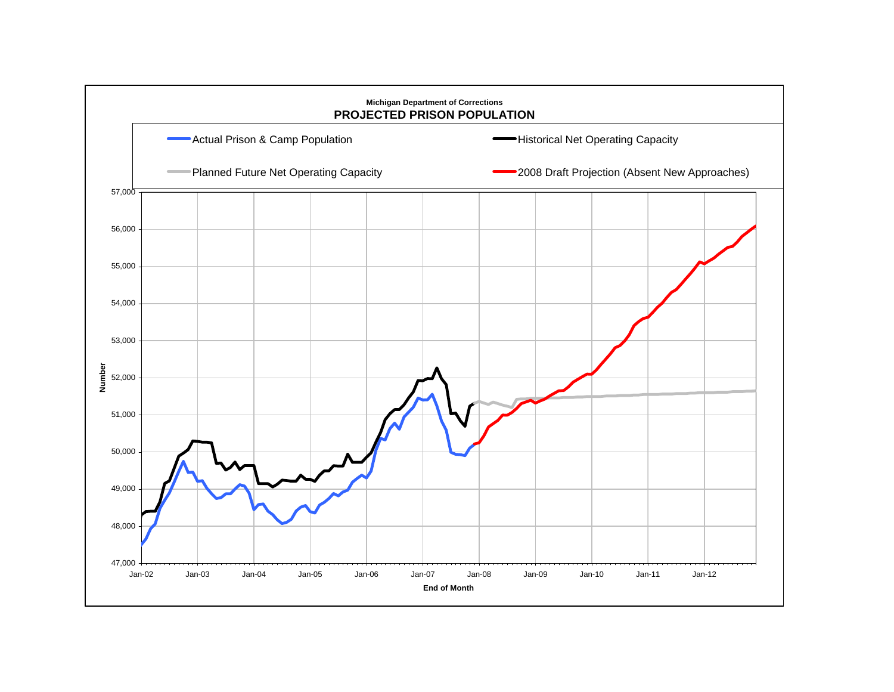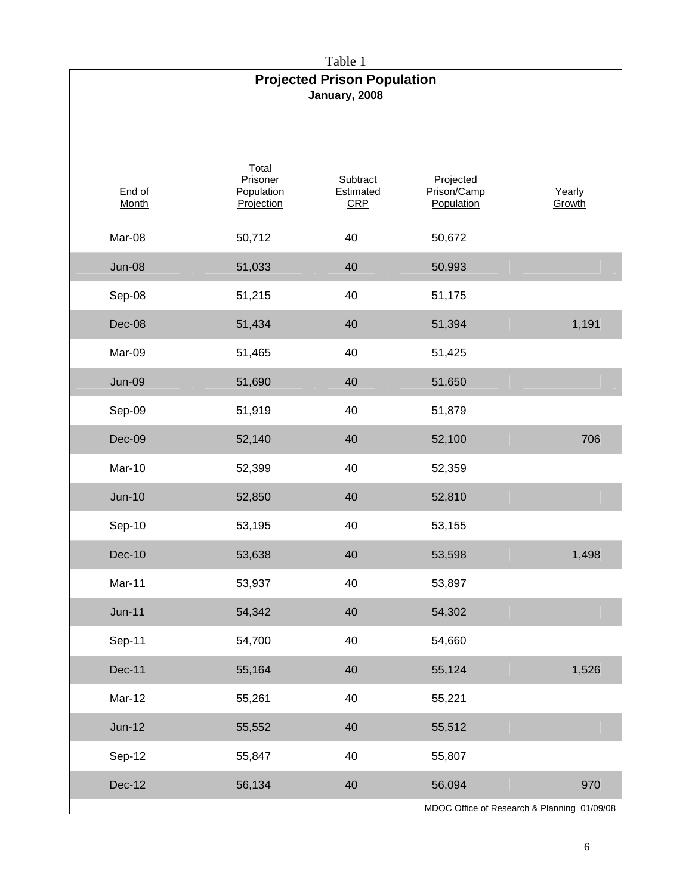Table 1 **Projected Prison Population January, 2008**  End of Month Total Prisoner Population **Projection Subtract** Estimated CRP Projected Prison/Camp **Population** Yearly **Growth** Mar-08 50,712 40 50,672 Jun-08 51,033 40 50,993 Sep-08 51,215 40 51,175 Dec-08 51,434 40 51,394 1,191 Mar-09 51,465 40 51,425 Jun-09 51,690 40 51,650 Sep-09 51,919 40 51,879 Dec-09 52,140 40 52,100 706 Mar-10 52,399 40 52,359 Jun-10 52,850 40 52,810 Sep-10 53,195 40 53,155 Dec-10 53,638 40 53,598 1,498 Mar-11 53,937 40 53,897 Jun-11 54,342 40 54,302 Sep-11 54,700 40 54,660 Dec-11 55,164 40 55,124 1,526 Mar-12 55,261 40 55,221 Jun-12 55,552 40 55,512 Sep-12 55,847 40 55,807

Dec-12 56,134 40 56,094 970

MDOC Office of Research & Planning 01/09/08